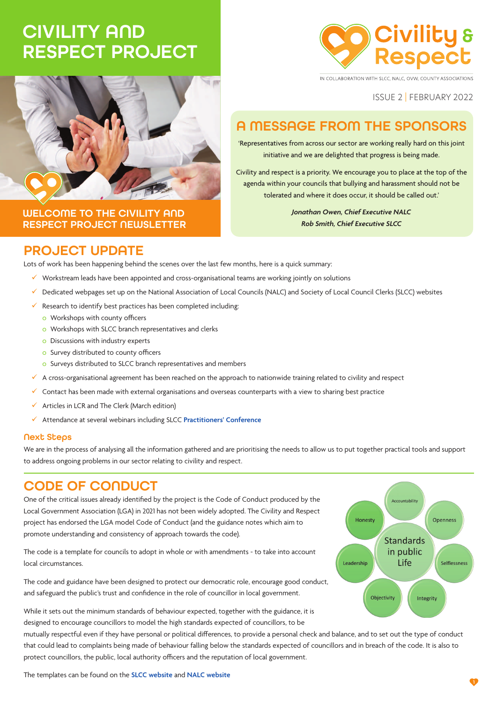# CIVILITY AND RESPECT PROJECT



IN COLLABORATION WITH SLCC. NALC. OVW. COUNTY ASSOCIATIONS

ISSUE 2 | FEBRUARY 2022

# A MESSAGE FROM THE SPONSORS

'Representatives from across our sector are working really hard on this joint initiative and we are delighted that progress is being made.

Civility and respect is a priority. We encourage you to place at the top of the agenda within your councils that bullying and harassment should not be tolerated and where it does occur, it should be called out.'

> *Jonathan Owen, Chief Executive NALC Rob Smith, Chief Executive SLCC*

### WELCOME TO THE CIVILITY AND RESPECT PROJECT NEWSLETTER

### PROJECT UPDATE

Lots of work has been happening behind the scenes over the last few months, here is a quick summary:

- $\checkmark$  Workstream leads have been appointed and cross-organisational teams are working jointly on solutions
- Dedicated webpages set up on the National Association of Local Councils (NALC) and Society of Local Council Clerks (SLCC) websites
- Research to identify best practices has been completed including:
	- o Workshops with county officers
	- o Workshops with SLCC branch representatives and clerks
	- o Discussions with industry experts
	- o Survey distributed to county officers
	- o Surveys distributed to SLCC branch representatives and members
- $\checkmark$  A cross-organisational agreement has been reached on the approach to nationwide training related to civility and respect
- $\checkmark$  Contact has been made with external organisations and overseas counterparts with a view to sharing best practice
- Articles in LCR and The Clerk (March edition)
- Attendance at several webinars including SLCC **[Practitioners' Conference](https://www.slcc.co.uk/event/practitioners-conference-2022/)**

#### Next Steps

We are in the process of analysing all the information gathered and are prioritising the needs to allow us to put together practical tools and support to address ongoing problems in our sector relating to civility and respect.

### CODE OF CONDUCT

One of the critical issues already identified by the project is the Code of Conduct produced by the Local Government Association (LGA) in 2021 has not been widely adopted. The Civility and Respect project has endorsed the LGA model Code of Conduct (and the guidance notes which aim to promote understanding and consistency of approach towards the code).

The code is a template for councils to adopt in whole or with amendments - to take into account local circumstances.

The code and guidance have been designed to protect our democratic role, encourage good conduct, and safeguard the public's trust and confidence in the role of councillor in local government.

While it sets out the minimum standards of behaviour expected, together with the guidance, it is designed to encourage councillors to model the high standards expected of councillors, to be

mutually respectful even if they have personal or political differences, to provide a personal check and balance, and to set out the type of conduct that could lead to complaints being made of behaviour falling below the standards expected of councillors and in breach of the code. It is also to protect councillors, the public, local authority officers and the reputation of local government.

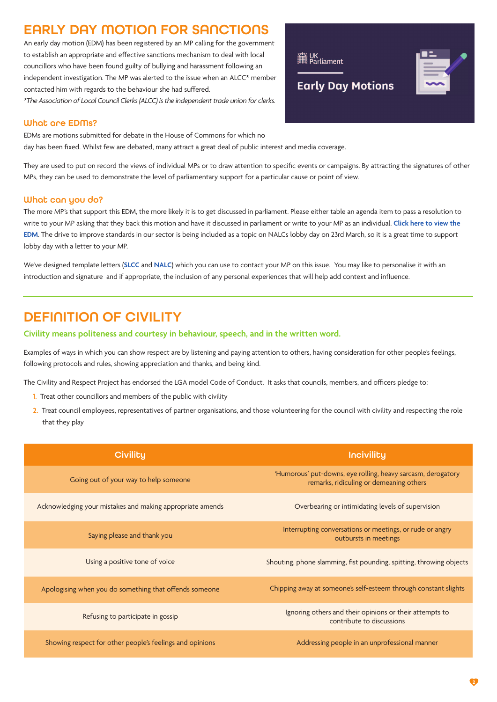# EARLY DAY MOTION FOR SANCTION

An early day motion (EDM) has been registered by an MP calling for the government to establish an appropriate and effective sanctions mechanism to deal with local councillors who have been found guilty of bullying and harassment following an independent investigation. The MP was alerted to the issue when an ALCC\* member contacted him with regards to the behaviour she had suffered.

*\*The Association of Local Council Clerks (ALCC) is the independent trade union for clerks.*

#### What are EDMs?

EDMs are motions submitted for debate in the House of Commons for which no

day has been fixed. Whilst few are debated, many attract a great deal of public interest and media coverage.

They are used to put on record the views of individual MPs or to draw attention to specific events or campaigns. By attracting the signatures of other MPs, they can be used to demonstrate the level of parliamentary support for a particular cause or point of view.

#### What can you do?

The more MP's that support this EDM, the more likely it is to get discussed in parliament. Please either table an agenda item to pass a resolution to write to your MP asking that they back this motion and have it discussed in parliament or write to your MP as an individual. **[Click here to view the](https://edm.parliament.uk/early-day-motion/59182/conduct-of-councillors-towards-town-and-parish-council-clerks) [EDM](https://edm.parliament.uk/early-day-motion/59182/conduct-of-councillors-towards-town-and-parish-council-clerks)**. The drive to improve standards in our sector is being included as a topic on NALCs lobby day on 23rd March, so it is a great time to support lobby day with a letter to your MP.

We've designed template letters (**[SLCC](https://www.slcc.co.uk/news-publications/civility-respect-project/#page-row-8)** and **[NALC](http://www.nalc.gov.uk/our-work/civility-and-respect-project)**) which you can use to contact your MP on this issue. You may like to personalise it with an introduction and signature and if appropriate, the inclusion of any personal experiences that will help add context and influence.

## DEFINITION OF CIVILITY

#### **Civility means politeness and courtesy in behaviour, speech, and in the written word.**

Examples of ways in which you can show respect are by listening and paying attention to others, having consideration for other people's feelings, following protocols and rules, showing appreciation and thanks, and being kind.

The Civility and Respect Project has endorsed the LGA model Code of Conduct. It asks that councils, members, and officers pledge to:

- **1.** Treat other councillors and members of the public with civility
- **2.** Treat council employees, representatives of partner organisations, and those volunteering for the council with civility and respecting the role that they play

| <b>Civility</b>                                           | <b>Incivility</b>                                                                                       |
|-----------------------------------------------------------|---------------------------------------------------------------------------------------------------------|
| Going out of your way to help someone                     | 'Humorous' put-downs, eye rolling, heavy sarcasm, derogatory<br>remarks, ridiculing or demeaning others |
| Acknowledging your mistakes and making appropriate amends | Overbearing or intimidating levels of supervision                                                       |
| Saying please and thank you                               | Interrupting conversations or meetings, or rude or angry<br>outbursts in meetings                       |
| Using a positive tone of voice                            | Shouting, phone slamming, fist pounding, spitting, throwing objects                                     |
| Apologising when you do something that offends someone    | Chipping away at someone's self-esteem through constant slights                                         |
| Refusing to participate in gossip                         | Ignoring others and their opinions or their attempts to<br>contribute to discussions                    |
| Showing respect for other people's feelings and opinions  | Addressing people in an unprofessional manner                                                           |



**Early Day Motions**